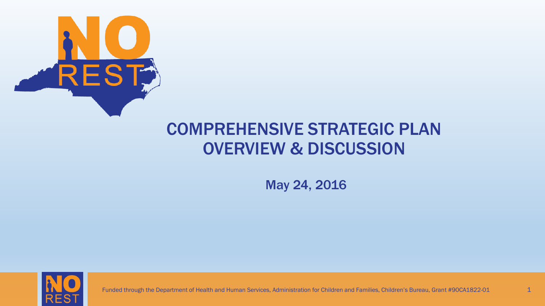

#### COMPREHENSIVE STRATEGIC PLAN OVERVIEW & DISCUSSION

May 24, 2016



Funded through the Department of Health and Human Services, Administration for Children and Families, Children's Bureau, Grant #90CA1822-01 1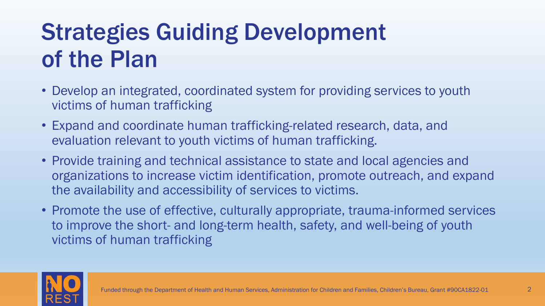# Strategies Guiding Development of the Plan

- Develop an integrated, coordinated system for providing services to youth victims of human trafficking
- Expand and coordinate human trafficking-related research, data, and evaluation relevant to youth victims of human trafficking.
- Provide training and technical assistance to state and local agencies and organizations to increase victim identification, promote outreach, and expand the availability and accessibility of services to victims.
- Promote the use of effective, culturally appropriate, trauma-informed services to improve the short- and long-term health, safety, and well-being of youth victims of human trafficking

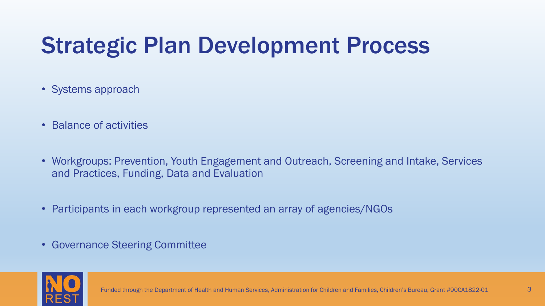# Strategic Plan Development Process

- Systems approach
- Balance of activities
- Workgroups: Prevention, Youth Engagement and Outreach, Screening and Intake, Services and Practices, Funding, Data and Evaluation
- Participants in each workgroup represented an array of agencies/NGOs
- Governance Steering Committee

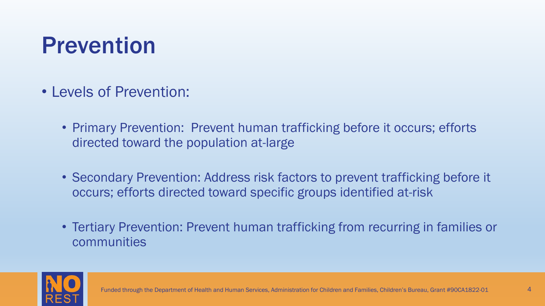#### Prevention

- Levels of Prevention:
	- Primary Prevention: Prevent human trafficking before it occurs; efforts directed toward the population at-large
	- Secondary Prevention: Address risk factors to prevent trafficking before it occurs; efforts directed toward specific groups identified at-risk
	- Tertiary Prevention: Prevent human trafficking from recurring in families or communities

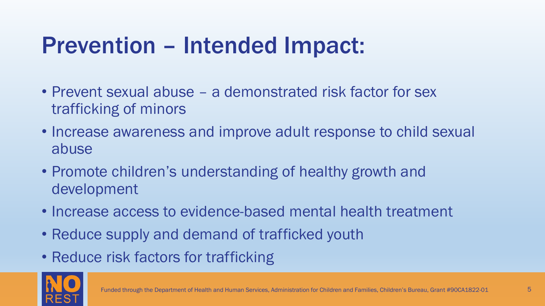### Prevention – Intended Impact:

- Prevent sexual abuse a demonstrated risk factor for sex trafficking of minors
- Increase awareness and improve adult response to child sexual abuse
- Promote children's understanding of healthy growth and development
- Increase access to evidence-based mental health treatment
- Reduce supply and demand of trafficked youth
- Reduce risk factors for trafficking

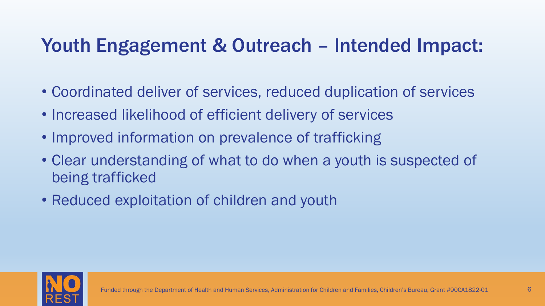#### Youth Engagement & Outreach – Intended Impact:

- Coordinated deliver of services, reduced duplication of services
- Increased likelihood of efficient delivery of services
- Improved information on prevalence of trafficking
- Clear understanding of what to do when a youth is suspected of being trafficked
- Reduced exploitation of children and youth

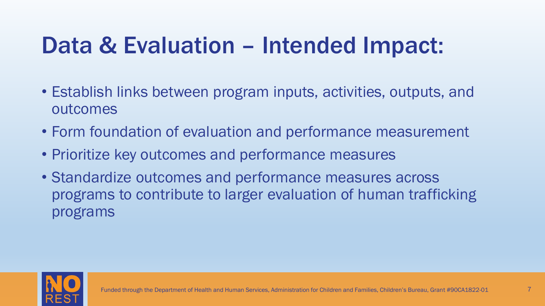### Data & Evaluation – Intended Impact:

- Establish links between program inputs, activities, outputs, and outcomes
- Form foundation of evaluation and performance measurement
- Prioritize key outcomes and performance measures
- Standardize outcomes and performance measures across programs to contribute to larger evaluation of human trafficking programs

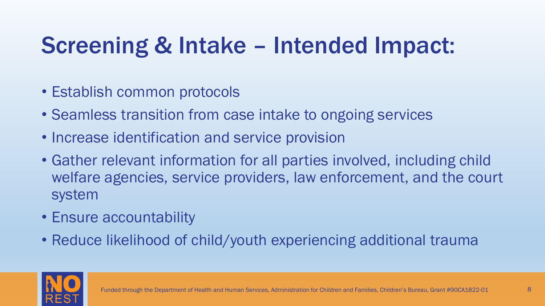# Screening & Intake – Intended Impact:

- Establish common protocols
- Seamless transition from case intake to ongoing services
- Increase identification and service provision
- Gather relevant information for all parties involved, including child welfare agencies, service providers, law enforcement, and the court system
- Ensure accountability
- Reduce likelihood of child/youth experiencing additional trauma

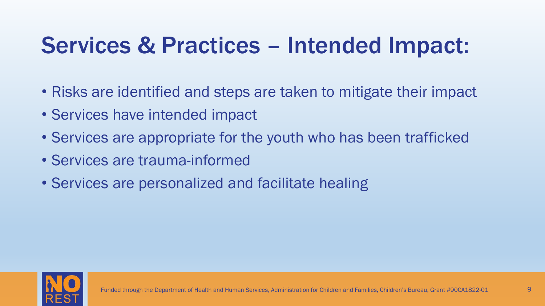# Services & Practices – Intended Impact:

- Risks are identified and steps are taken to mitigate their impact
- Services have intended impact
- Services are appropriate for the youth who has been trafficked
- Services are trauma-informed
- Services are personalized and facilitate healing

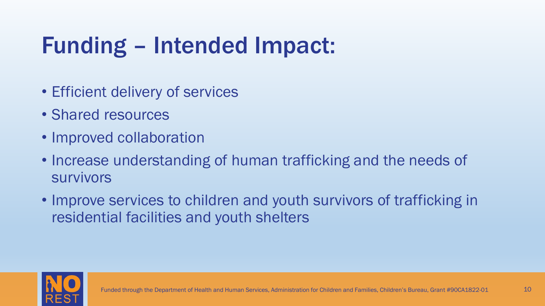# Funding – Intended Impact:

- Efficient delivery of services
- Shared resources
- Improved collaboration
- Increase understanding of human trafficking and the needs of survivors
- Improve services to children and youth survivors of trafficking in residential facilities and youth shelters